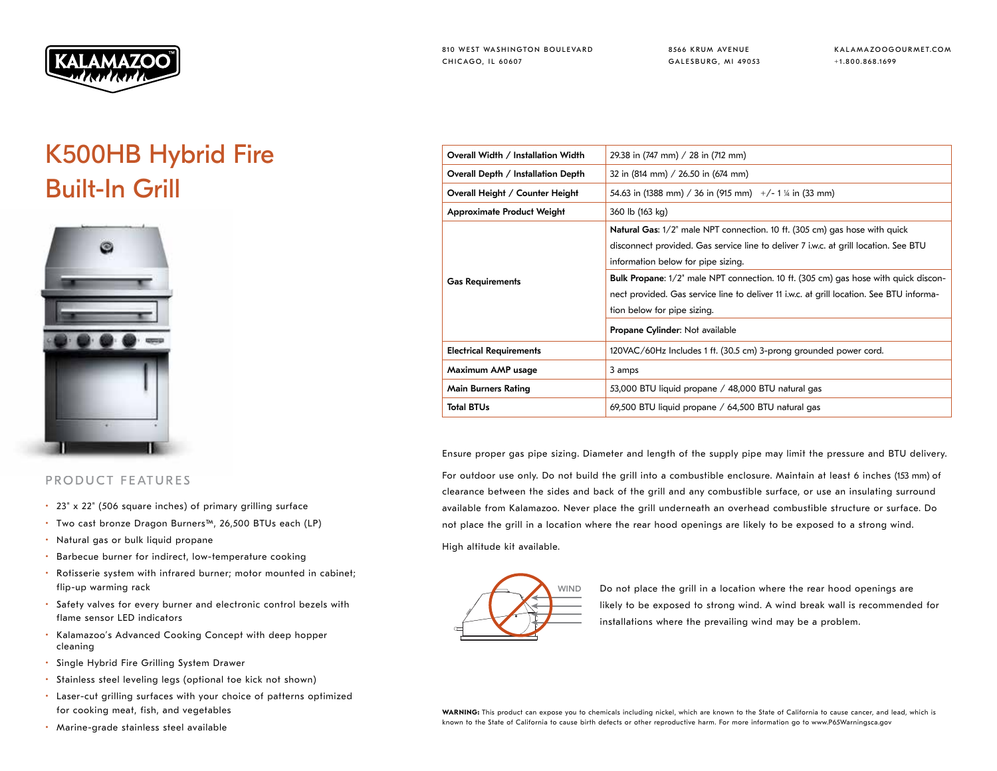

8566 KRUM AVENUE GALESBURG, MI 49053 KALAMAZOOGOURMET.COM +1.800.868.1699

## K500HB Hybrid Fire Built-In Grill



## PRODUCT FEATURES

- 23" x 22" (506 square inches) of primary grilling surface
- Two cast bronze Dragon Burners™, 26,500 BTUs each (LP)
- Natural gas or bulk liquid propane
- Barbecue burner for indirect, low-temperature cooking
- Rotisserie system with infrared burner; motor mounted in cabinet; flip-up warming rack
- Safety valves for every burner and electronic control bezels with flame sensor LED indicators
- Kalamazoo's Advanced Cooking Concept with deep hopper cleaning
- Single Hybrid Fire Grilling System Drawer
- Stainless steel leveling legs (optional toe kick not shown)
- Laser-cut grilling surfaces with your choice of patterns optimized for cooking meat, fish, and vegetables
- Marine-grade stainless steel available

| Overall Width / Installation Width | 29.38 in (747 mm) / 28 in (712 mm)                                                         |
|------------------------------------|--------------------------------------------------------------------------------------------|
| Overall Depth / Installation Depth | 32 in (814 mm) / 26.50 in (674 mm)                                                         |
| Overall Height / Counter Height    | 54.63 in (1388 mm) / 36 in (915 mm) $+/- 1$ ¼ in (33 mm)                                   |
| <b>Approximate Product Weight</b>  | 360 lb (163 kg)                                                                            |
| <b>Gas Requirements</b>            | <b>Natural Gas:</b> 1/2" male NPT connection. 10 ft. (305 cm) gas hose with quick          |
|                                    | disconnect provided. Gas service line to deliver 7 i.w.c. at grill location. See BTU       |
|                                    | information below for pipe sizing.                                                         |
|                                    | <b>Bulk Propane:</b> 1/2" male NPT connection. 10 ft. (305 cm) gas hose with quick discon- |
|                                    | nect provided. Gas service line to deliver 11 i.w.c. at grill location. See BTU informa-   |
|                                    | tion below for pipe sizing.                                                                |
|                                    | Propane Cylinder: Not available                                                            |
| <b>Electrical Requirements</b>     | 120VAC/60Hz Includes 1 ft. (30.5 cm) 3-prong grounded power cord.                          |
| Maximum AMP usage                  | 3 amps                                                                                     |
| Main Burners Rating                | 53,000 BTU liquid propane / 48,000 BTU natural gas                                         |
| <b>Total BTUs</b>                  | 69,500 BTU liquid propane / 64,500 BTU natural gas                                         |
|                                    |                                                                                            |

Ensure proper gas pipe sizing. Diameter and length of the supply pipe may limit the pressure and BTU delivery.

For outdoor use only. Do not build the grill into a combustible enclosure. Maintain at least 6 inches (153 mm) of clearance between the sides and back of the grill and any combustible surface, or use an insulating surround available from Kalamazoo. Never place the grill underneath an overhead combustible structure or surface. Do not place the grill in a location where the rear hood openings are likely to be exposed to a strong wind.

High altitude kit available.



WIND Do not place the grill in a location where the rear hood openings are likely to be exposed to strong wind. A wind break wall is recommended for installations where the prevailing wind may be a problem.

WARNING: This product can expose you to chemicals including nickel, which are known to the State of California to cause cancer, and lead, which is known to the State of California to cause birth defects or other reproductive harm. For more information go to www.P65Warningsca.gov